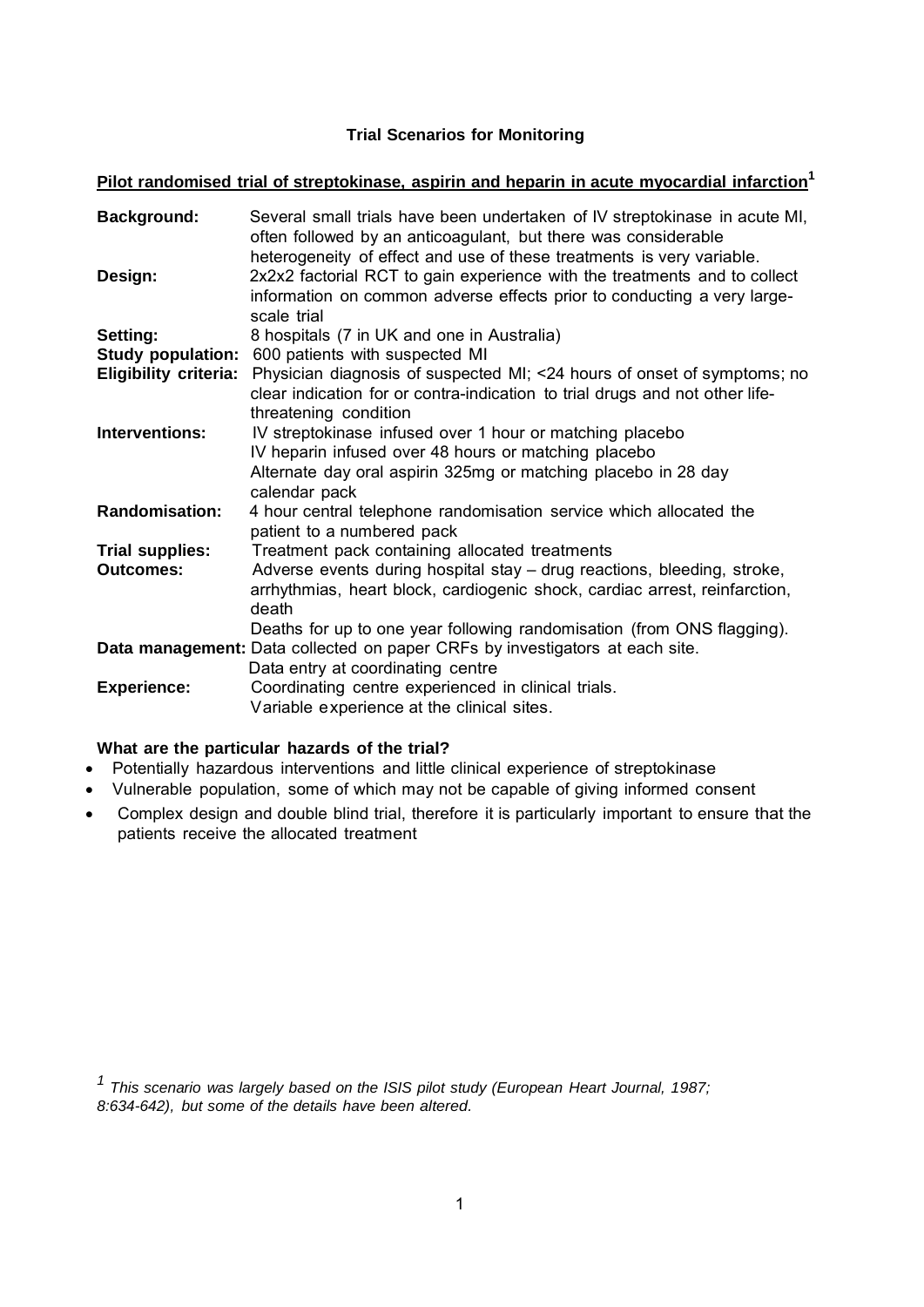# **Trial Scenarios for Monitoring**

**Pilot randomised trial of streptokinase, aspirin and heparin in acute myocardial infarction1**

| Background:                  | Several small trials have been undertaken of IV streptokinase in acute MI,<br>often followed by an anticoagulant, but there was considerable<br>heterogeneity of effect and use of these treatments is very variable. |
|------------------------------|-----------------------------------------------------------------------------------------------------------------------------------------------------------------------------------------------------------------------|
| Design:                      | 2x2x2 factorial RCT to gain experience with the treatments and to collect<br>information on common adverse effects prior to conducting a very large-<br>scale trial                                                   |
| Setting:                     | 8 hospitals (7 in UK and one in Australia)                                                                                                                                                                            |
|                              | Study population: 600 patients with suspected MI                                                                                                                                                                      |
| <b>Eligibility criteria:</b> | Physician diagnosis of suspected MI; <24 hours of onset of symptoms; no<br>clear indication for or contra-indication to trial drugs and not other life-<br>threatening condition                                      |
| <b>Interventions:</b>        | IV streptokinase infused over 1 hour or matching placebo<br>IV heparin infused over 48 hours or matching placebo<br>Alternate day oral aspirin 325mg or matching placebo in 28 day                                    |
|                              | calendar pack                                                                                                                                                                                                         |
| <b>Randomisation:</b>        | 4 hour central telephone randomisation service which allocated the<br>patient to a numbered pack                                                                                                                      |
| <b>Trial supplies:</b>       | Treatment pack containing allocated treatments                                                                                                                                                                        |
| <b>Outcomes:</b>             | Adverse events during hospital stay – drug reactions, bleeding, stroke,<br>arrhythmias, heart block, cardiogenic shock, cardiac arrest, reinfarction,<br>death                                                        |
|                              | Deaths for up to one year following randomisation (from ONS flagging).                                                                                                                                                |
|                              | Data management: Data collected on paper CRFs by investigators at each site.<br>Data entry at coordinating centre                                                                                                     |
| <b>Experience:</b>           | Coordinating centre experienced in clinical trials.<br>Variable experience at the clinical sites.                                                                                                                     |

## **What are the particular hazards of the trial?**

- Potentially hazardous interventions and little clinical experience of streptokinase
- Vulnerable population, some of which may not be capable of giving informed consent
- Complex design and double blind trial, therefore it is particularly important to ensure that the patients receive the allocated treatment

*1 This scenario was largely based on the ISIS pilot study (European Heart Journal, 1987; 8:634-642), but some of the details have been altered.*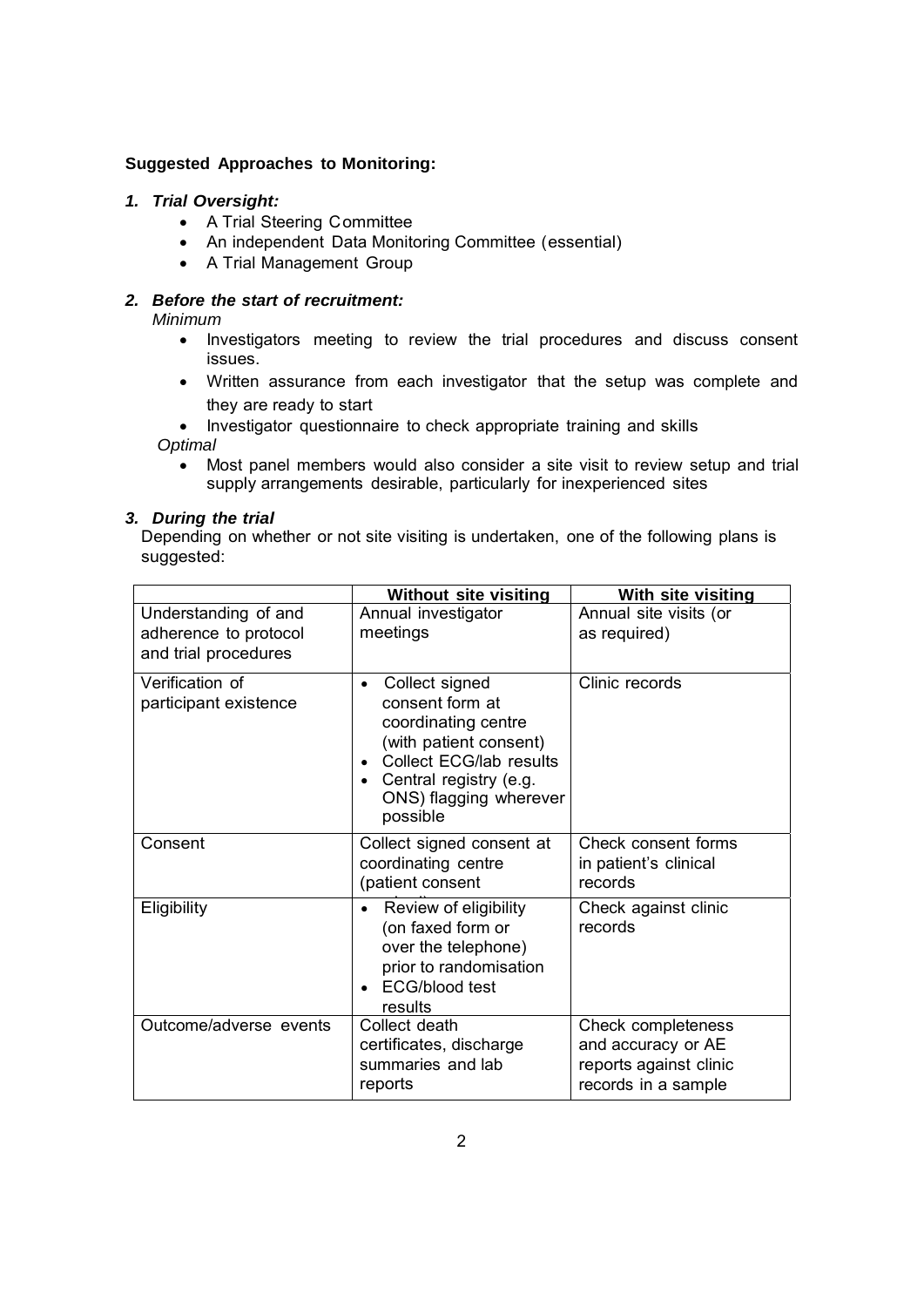## **Suggested Approaches to Monitoring:**

# *1. Trial Oversight:*

- A Trial Steering Committee
- An independent Data Monitoring Committee (essential)
- A Trial Management Group

# *2. Before the start of recruitment:*

*Minimum*

- Investigators meeting to review the trial procedures and discuss consent issues.
- Written assurance from each investigator that the setup was complete and they are ready to start

• Investigator questionnaire to check appropriate training and skills *Optimal*

 Most panel members would also consider a site visit to review setup and trial supply arrangements desirable, particularly for inexperienced sites

## *3. During the trial*

Depending on whether or not site visiting is undertaken, one of the following plans is suggested:

|                                                                       | <b>Without site visiting</b>                                                                                                                                                                              | With site visiting                                                                        |
|-----------------------------------------------------------------------|-----------------------------------------------------------------------------------------------------------------------------------------------------------------------------------------------------------|-------------------------------------------------------------------------------------------|
| Understanding of and<br>adherence to protocol<br>and trial procedures | Annual investigator<br>meetings                                                                                                                                                                           | Annual site visits (or<br>as required)                                                    |
| Verification of<br>participant existence                              | Collect signed<br>$\bullet$<br>consent form at<br>coordinating centre<br>(with patient consent)<br>Collect ECG/lab results<br>$\bullet$<br>• Central registry (e.g.<br>ONS) flagging wherever<br>possible | Clinic records                                                                            |
| Consent                                                               | Collect signed consent at<br>coordinating centre<br>(patient consent                                                                                                                                      | Check consent forms<br>in patient's clinical<br>records                                   |
| Eligibility                                                           | Review of eligibility<br>$\bullet$<br>(on faxed form or<br>over the telephone)<br>prior to randomisation<br><b>ECG/blood test</b><br>results                                                              | Check against clinic<br>records                                                           |
| Outcome/adverse events                                                | Collect death<br>certificates, discharge<br>summaries and lab<br>reports                                                                                                                                  | Check completeness<br>and accuracy or AE<br>reports against clinic<br>records in a sample |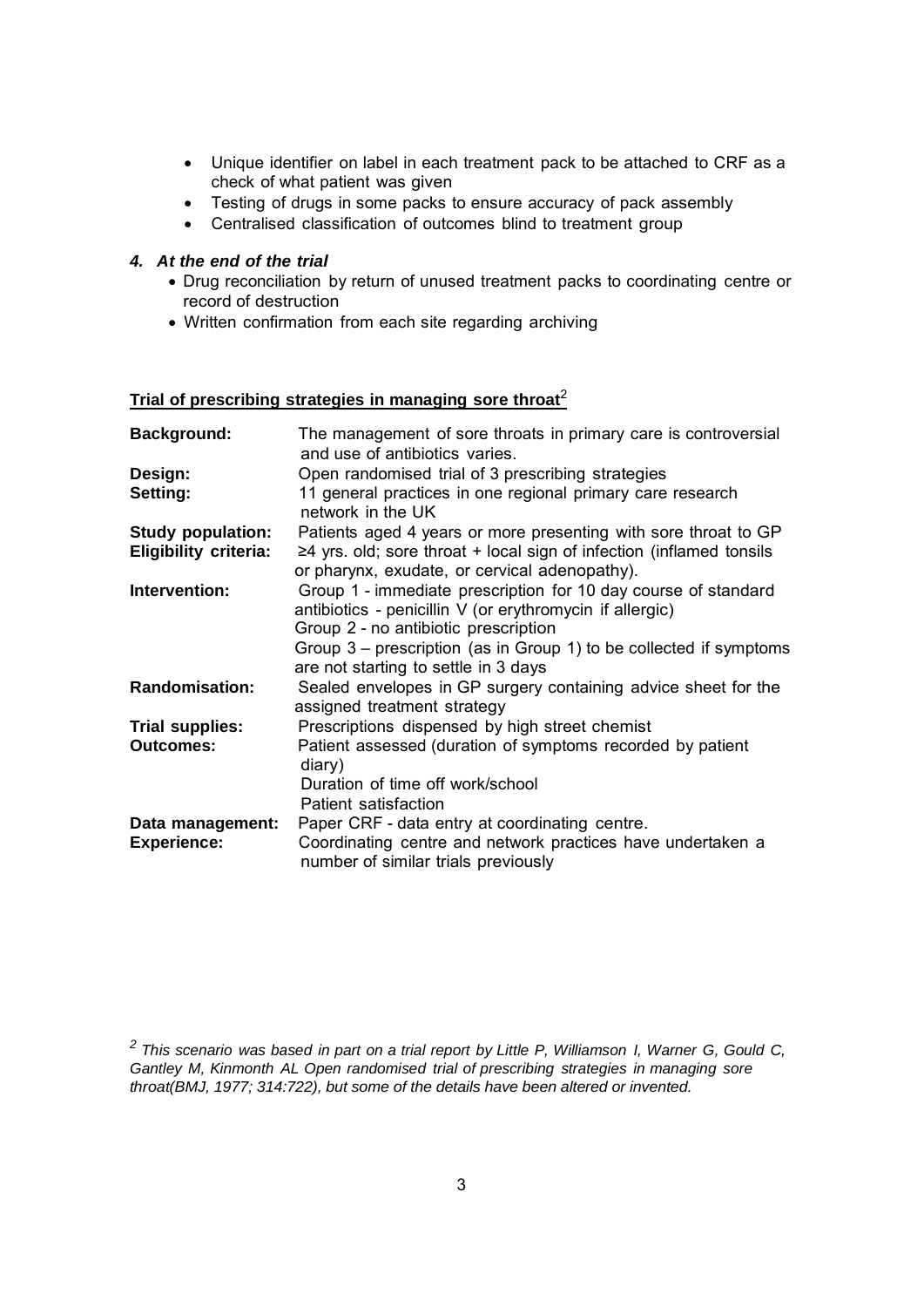- Unique identifier on label in each treatment pack to be attached to CRF as a check of what patient was given
- Testing of drugs in some packs to ensure accuracy of pack assembly
- Centralised classification of outcomes blind to treatment group

#### *4. At the end of the trial*

- Drug reconciliation by return of unused treatment packs to coordinating centre or record of destruction
- Written confirmation from each site regarding archiving

# **Trial of prescribing strategies in managing sore throat**<sup>2</sup>

| <b>Background:</b>           | The management of sore throats in primary care is controversial<br>and use of antibiotics varies. |
|------------------------------|---------------------------------------------------------------------------------------------------|
| Design:                      | Open randomised trial of 3 prescribing strategies                                                 |
| Setting:                     | 11 general practices in one regional primary care research<br>network in the UK                   |
| <b>Study population:</b>     | Patients aged 4 years or more presenting with sore throat to GP                                   |
| <b>Eligibility criteria:</b> | $\geq$ 4 yrs. old; sore throat + local sign of infection (inflamed tonsils                        |
|                              | or pharynx, exudate, or cervical adenopathy).                                                     |
| Intervention:                | Group 1 - immediate prescription for 10 day course of standard                                    |
|                              | antibiotics - penicillin V (or erythromycin if allergic)                                          |
|                              | Group 2 - no antibiotic prescription                                                              |
|                              | Group 3 – prescription (as in Group 1) to be collected if symptoms                                |
|                              | are not starting to settle in 3 days                                                              |
| <b>Randomisation:</b>        | Sealed envelopes in GP surgery containing advice sheet for the                                    |
|                              | assigned treatment strategy                                                                       |
|                              |                                                                                                   |
| <b>Trial supplies:</b>       | Prescriptions dispensed by high street chemist                                                    |
| <b>Outcomes:</b>             | Patient assessed (duration of symptoms recorded by patient<br>diary)                              |
|                              | Duration of time off work/school                                                                  |
|                              | Patient satisfaction                                                                              |
| Data management:             | Paper CRF - data entry at coordinating centre.                                                    |
| <b>Experience:</b>           | Coordinating centre and network practices have undertaken a                                       |
|                              | number of similar trials previously                                                               |

*<sup>2</sup> This scenario was based in part on a trial report by Little P, Williamson I, Warner G, Gould C, Gantley M, Kinmonth AL Open randomised trial of prescribing strategies in managing sore throat(BMJ, 1977; 314:722), but some of the details have been altered or invented.*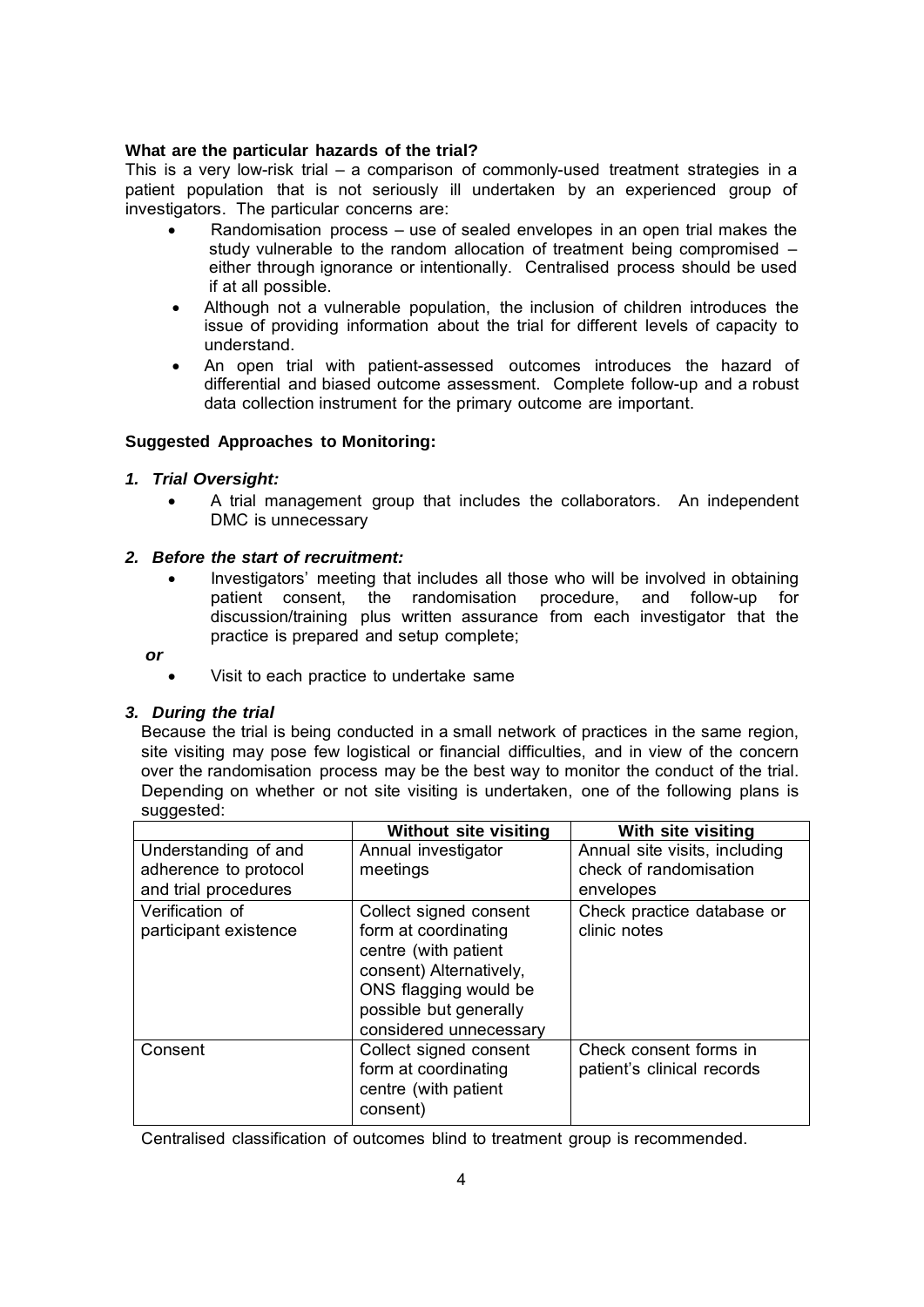### **What are the particular hazards of the trial?**

This is a very low-risk trial – a comparison of commonly-used treatment strategies in a patient population that is not seriously ill undertaken by an experienced group of investigators. The particular concerns are:

- Randomisation process use of sealed envelopes in an open trial makes the study vulnerable to the random allocation of treatment being compromised – either through ignorance or intentionally. Centralised process should be used if at all possible.
- Although not a vulnerable population, the inclusion of children introduces the issue of providing information about the trial for different levels of capacity to understand.
- An open trial with patient-assessed outcomes introduces the hazard of differential and biased outcome assessment. Complete follow-up and a robust data collection instrument for the primary outcome are important.

# **Suggested Approaches to Monitoring:**

## *1. Trial Oversight:*

 A trial management group that includes the collaborators. An independent DMC is unnecessary

## *2. Before the start of recruitment:*

 Investigators' meeting that includes all those who will be involved in obtaining patient consent, the randomisation procedure, and follow-up for discussion/training plus written assurance from each investigator that the practice is prepared and setup complete;

#### *or*

Visit to each practice to undertake same

#### *3. During the trial*

Because the trial is being conducted in a small network of practices in the same region, site visiting may pose few logistical or financial difficulties, and in view of the concern over the randomisation process may be the best way to monitor the conduct of the trial. Depending on whether or not site visiting is undertaken, one of the following plans is suggested:

|                                          | <b>Without site visiting</b>                                                                                                                                                   | With site visiting                                   |
|------------------------------------------|--------------------------------------------------------------------------------------------------------------------------------------------------------------------------------|------------------------------------------------------|
| Understanding of and                     | Annual investigator                                                                                                                                                            | Annual site visits, including                        |
| adherence to protocol                    | meetings                                                                                                                                                                       | check of randomisation                               |
| and trial procedures                     |                                                                                                                                                                                | envelopes                                            |
| Verification of<br>participant existence | Collect signed consent<br>form at coordinating<br>centre (with patient<br>consent) Alternatively,<br>ONS flagging would be<br>possible but generally<br>considered unnecessary | Check practice database or<br>clinic notes           |
| Consent                                  | Collect signed consent<br>form at coordinating<br>centre (with patient<br>consent)                                                                                             | Check consent forms in<br>patient's clinical records |

Centralised classification of outcomes blind to treatment group is recommended.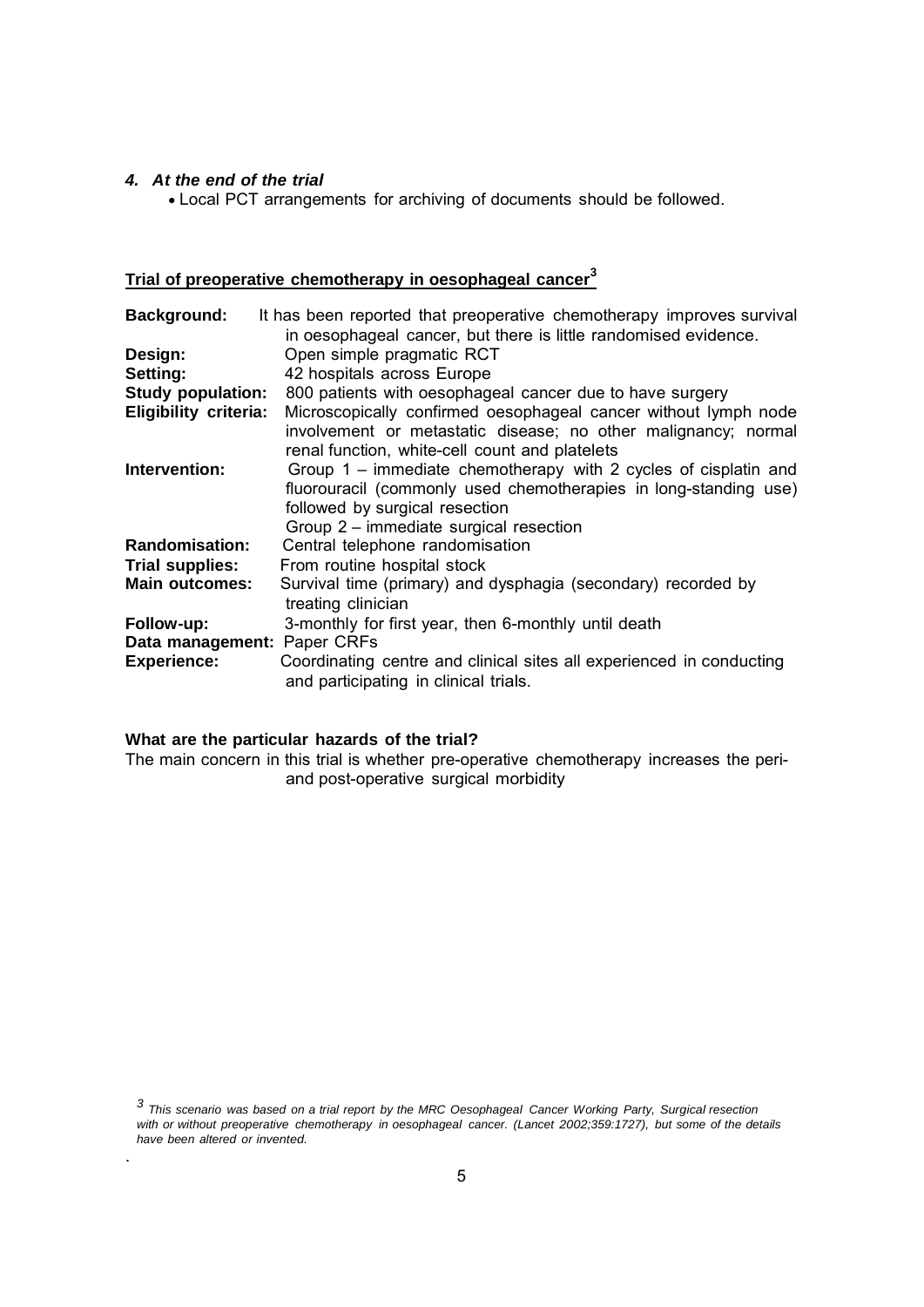#### *4. At the end of the trial*

Local PCT arrangements for archiving of documents should be followed.

# **Trial of preoperative chemotherapy in oesophageal cancer<sup>3</sup>**

| <b>Background:</b>           | It has been reported that preoperative chemotherapy improves survival                                         |
|------------------------------|---------------------------------------------------------------------------------------------------------------|
|                              | in oesophageal cancer, but there is little randomised evidence.                                               |
| Design:                      | Open simple pragmatic RCT                                                                                     |
| Setting:                     | 42 hospitals across Europe                                                                                    |
| <b>Study population:</b>     | 800 patients with oesophageal cancer due to have surgery                                                      |
| <b>Eligibility criteria:</b> | Microscopically confirmed oesophageal cancer without lymph node                                               |
|                              | involvement or metastatic disease; no other malignancy; normal                                                |
|                              | renal function, white-cell count and platelets                                                                |
| Intervention:                | Group 1 – immediate chemotherapy with 2 cycles of cisplatin and                                               |
|                              | fluorouracil (commonly used chemotherapies in long-standing use)                                              |
|                              | followed by surgical resection                                                                                |
|                              | Group 2 - immediate surgical resection                                                                        |
| <b>Randomisation:</b>        | Central telephone randomisation                                                                               |
| <b>Trial supplies:</b>       | From routine hospital stock                                                                                   |
| <b>Main outcomes:</b>        | Survival time (primary) and dysphagia (secondary) recorded by                                                 |
|                              | treating clinician                                                                                            |
| Follow-up:                   | 3-monthly for first year, then 6-monthly until death                                                          |
| Data management: Paper CRFs  |                                                                                                               |
| <b>Experience:</b>           | Coordinating centre and clinical sites all experienced in conducting<br>and participating in clinical trials. |

# **What are the particular hazards of the trial?**

.

The main concern in this trial is whether pre-operative chemotherapy increases the periand post-operative surgical morbidity

*3 This scenario was based on a trial report by the MRC Oesophageal Cancer Working Party, Surgical resection with or without preoperative chemotherapy in oesophageal cancer. (Lancet 2002;359:1727), but some of the details have been altered or invented.*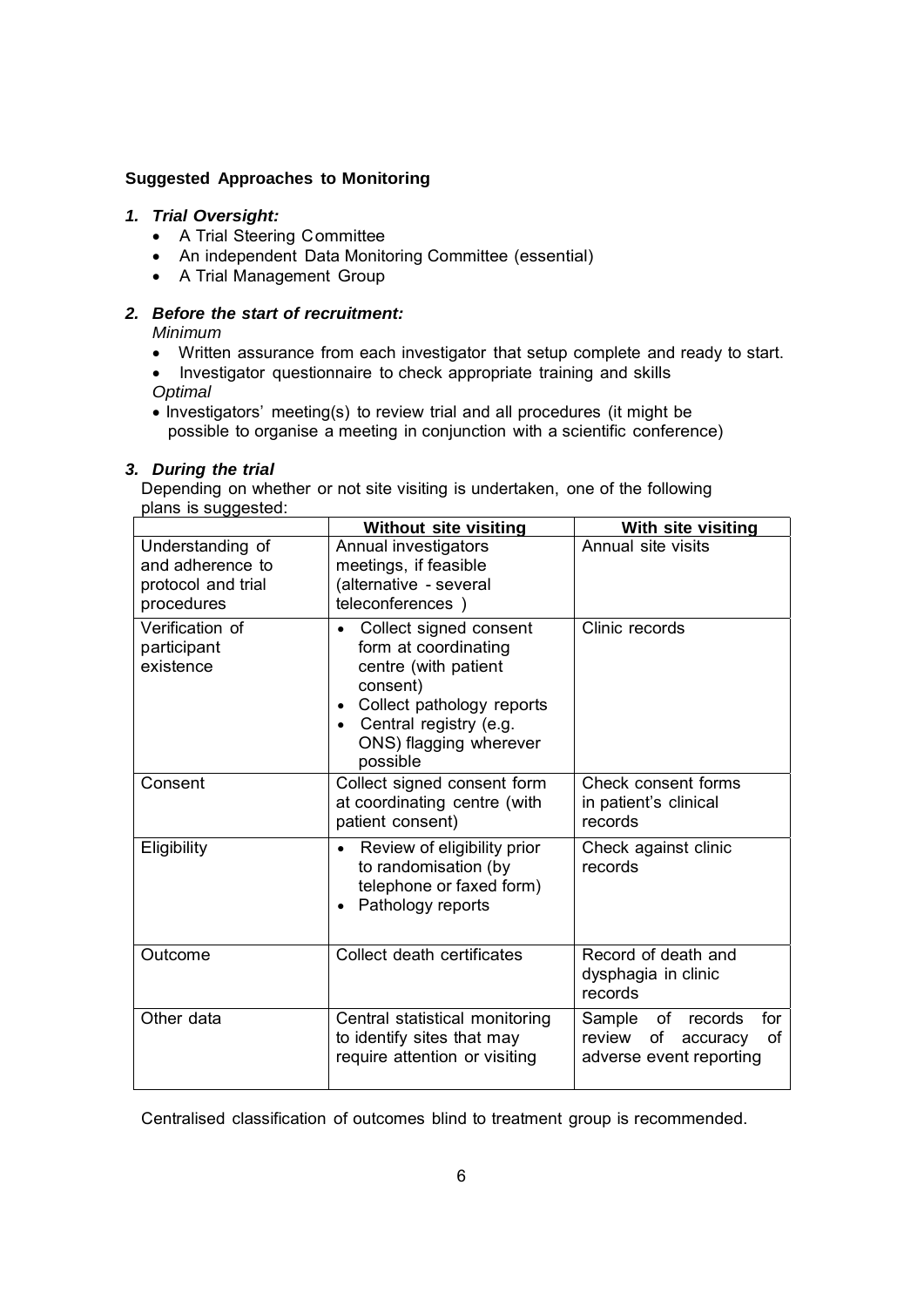### **Suggested Approaches to Monitoring**

## *1. Trial Oversight:*

- A Trial Steering Committee
- An independent Data Monitoring Committee (essential)
- A Trial Management Group

## *2. Before the start of recruitment:*

*Minimum* 

- Written assurance from each investigator that setup complete and ready to start.
- Investigator questionnaire to check appropriate training and skills *Optimal*
- Investigators' meeting(s) to review trial and all procedures (it might be possible to organise a meeting in conjunction with a scientific conference)

#### *3. During the trial*

Depending on whether or not site visiting is undertaken, one of the following plans is suggested:

|                                                                          | <b>Without site visiting</b>                                                                                                                                                                                           | With site visiting                                                                          |
|--------------------------------------------------------------------------|------------------------------------------------------------------------------------------------------------------------------------------------------------------------------------------------------------------------|---------------------------------------------------------------------------------------------|
| Understanding of<br>and adherence to<br>protocol and trial<br>procedures | Annual investigators<br>meetings, if feasible<br>(alternative - several<br>teleconferences)                                                                                                                            | Annual site visits                                                                          |
| Verification of<br>participant<br>existence                              | Collect signed consent<br>$\bullet$<br>form at coordinating<br>centre (with patient<br>consent)<br>Collect pathology reports<br>$\bullet$<br>Central registry (e.g.<br>$\bullet$<br>ONS) flagging wherever<br>possible | Clinic records                                                                              |
| Consent                                                                  | Collect signed consent form<br>at coordinating centre (with<br>patient consent)                                                                                                                                        | Check consent forms<br>in patient's clinical<br>records                                     |
| Eligibility                                                              | Review of eligibility prior<br>$\bullet$<br>to randomisation (by<br>telephone or faxed form)<br>Pathology reports                                                                                                      | Check against clinic<br>records                                                             |
| Outcome                                                                  | Collect death certificates                                                                                                                                                                                             | Record of death and<br>dysphagia in clinic<br>records                                       |
| Other data                                                               | Central statistical monitoring<br>to identify sites that may<br>require attention or visiting                                                                                                                          | of<br>for<br>Sample<br>records<br>of<br>review<br>οf<br>accuracy<br>adverse event reporting |

Centralised classification of outcomes blind to treatment group is recommended.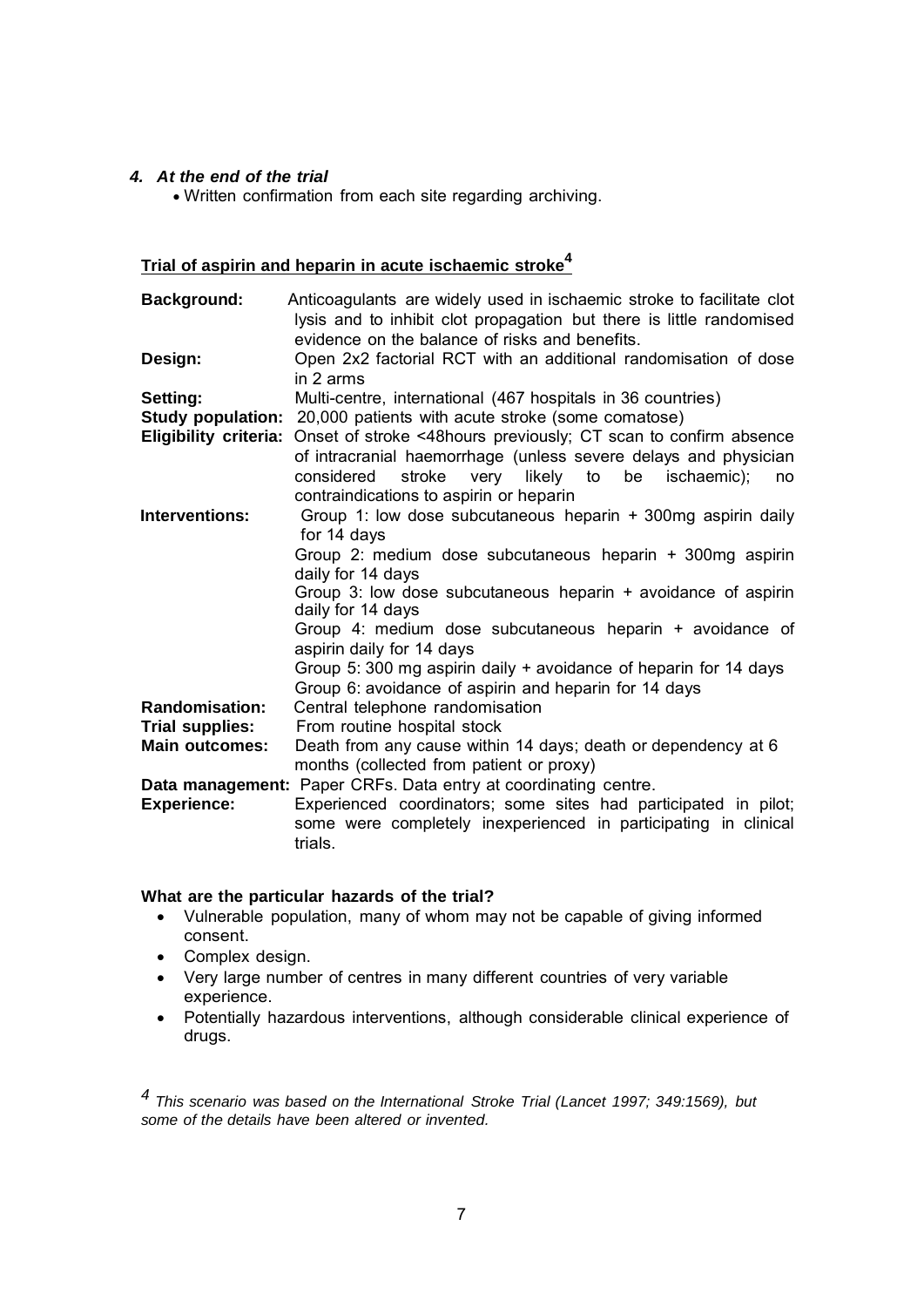### *4. At the end of the trial*

Written confirmation from each site regarding archiving.

# **Trial of aspirin and heparin in acute ischaemic stroke<sup>4</sup>**

| <b>Background:</b>           | Anticoagulants are widely used in ischaemic stroke to facilitate clot<br>lysis and to inhibit clot propagation but there is little randomised<br>evidence on the balance of risks and benefits.                  |
|------------------------------|------------------------------------------------------------------------------------------------------------------------------------------------------------------------------------------------------------------|
| Design:                      | Open 2x2 factorial RCT with an additional randomisation of dose<br>in 2 arms                                                                                                                                     |
| Setting:                     | Multi-centre, international (467 hospitals in 36 countries)                                                                                                                                                      |
| <b>Study population:</b>     | 20,000 patients with acute stroke (some comatose)                                                                                                                                                                |
| <b>Eligibility criteria:</b> | Onset of stroke <48hours previously; CT scan to confirm absence<br>of intracranial haemorrhage (unless severe delays and physician                                                                               |
|                              | considered<br>stroke<br>very likely to be ischaemic);<br>no<br>contraindications to aspirin or heparin                                                                                                           |
| Interventions:               | Group 1: low dose subcutaneous heparin + 300mg aspirin daily<br>for 14 days                                                                                                                                      |
|                              | Group 2: medium dose subcutaneous heparin + 300mg aspirin<br>daily for 14 days                                                                                                                                   |
|                              | Group 3: low dose subcutaneous heparin + avoidance of aspirin<br>daily for 14 days                                                                                                                               |
|                              | Group 4: medium dose subcutaneous heparin + avoidance of<br>aspirin daily for 14 days                                                                                                                            |
|                              | Group 5: 300 mg aspirin daily + avoidance of heparin for 14 days<br>Group 6: avoidance of aspirin and heparin for 14 days                                                                                        |
| <b>Randomisation:</b>        | Central telephone randomisation                                                                                                                                                                                  |
| <b>Trial supplies:</b>       | From routine hospital stock                                                                                                                                                                                      |
| <b>Main outcomes:</b>        | Death from any cause within 14 days; death or dependency at 6<br>months (collected from patient or proxy)                                                                                                        |
| <b>Experience:</b>           | Data management: Paper CRFs. Data entry at coordinating centre.<br>Experienced coordinators; some sites had participated in pilot;<br>some were completely inexperienced in participating in clinical<br>trials. |

#### **What are the particular hazards of the trial?**

- Vulnerable population, many of whom may not be capable of giving informed consent.
- Complex design.
- Very large number of centres in many different countries of very variable experience.
- Potentially hazardous interventions, although considerable clinical experience of drugs.

*4 This scenario was based on the International Stroke Trial (Lancet 1997; 349:1569), but some of the details have been altered or invented.*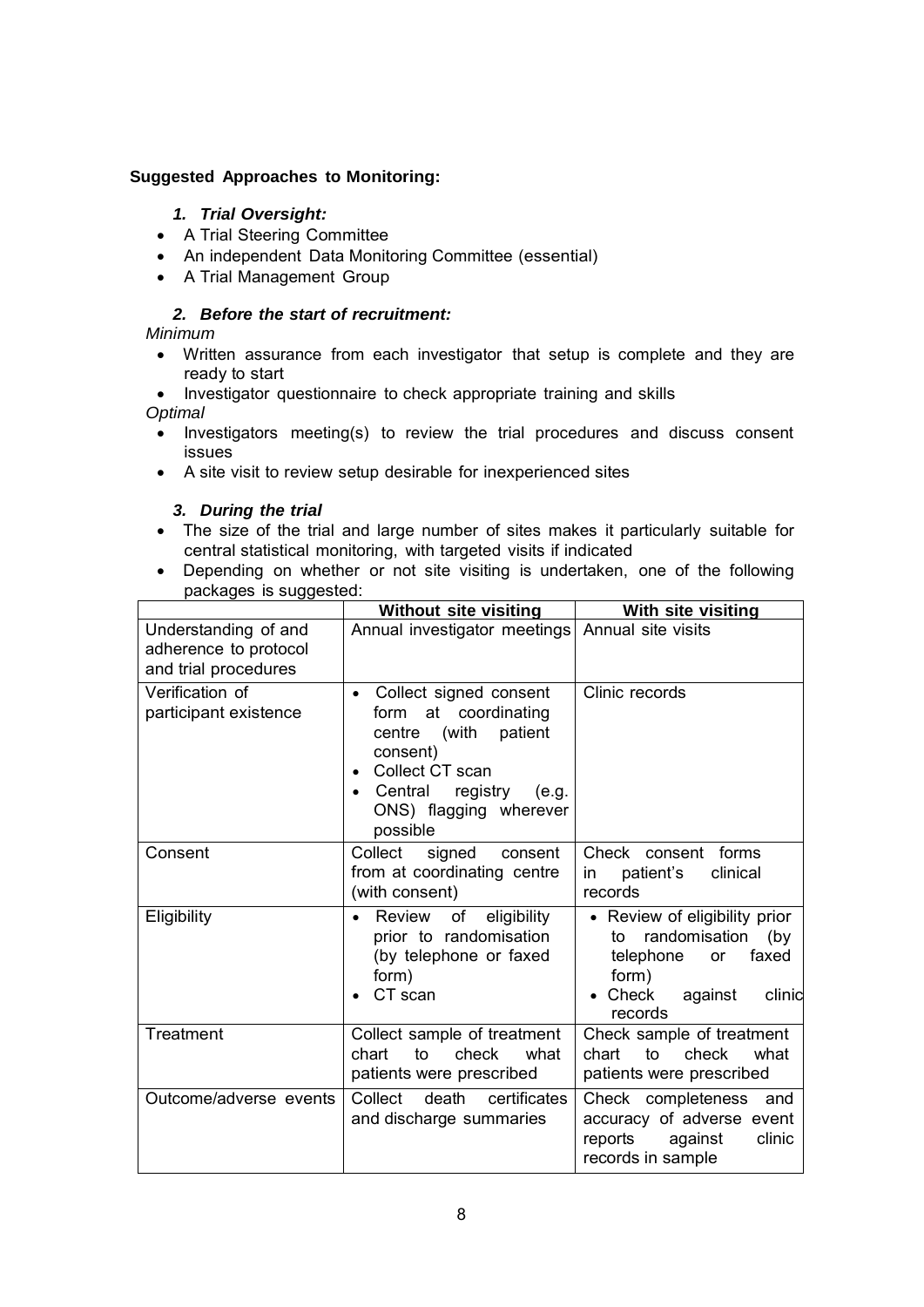# **Suggested Approaches to Monitoring:**

# *1. Trial Oversight:*

- A Trial Steering Committee
- An independent Data Monitoring Committee (essential)
- A Trial Management Group

# *2. Before the start of recruitment:*

# *Minimum*

- Written assurance from each investigator that setup is complete and they are ready to start
- Investigator questionnaire to check appropriate training and skills *Optimal*
	- Investigators meeting(s) to review the trial procedures and discuss consent issues
	- A site visit to review setup desirable for inexperienced sites

## *3. During the trial*

- The size of the trial and large number of sites makes it particularly suitable for central statistical monitoring, with targeted visits if indicated
- Depending on whether or not site visiting is undertaken, one of the following packages is suggested:

|                                                                       | <b>Without site visiting</b>                                                                                                                                                                             | With site visiting                                                                                                                               |
|-----------------------------------------------------------------------|----------------------------------------------------------------------------------------------------------------------------------------------------------------------------------------------------------|--------------------------------------------------------------------------------------------------------------------------------------------------|
| Understanding of and<br>adherence to protocol<br>and trial procedures | Annual investigator meetings                                                                                                                                                                             | Annual site visits                                                                                                                               |
| Verification of<br>participant existence                              | Collect signed consent<br>$\bullet$<br>form at coordinating<br>patient<br>(with<br>centre<br>consent)<br>Collect CT scan<br>$\bullet$<br>Central registry<br>(e.g.<br>ONS) flagging wherever<br>possible | Clinic records                                                                                                                                   |
| Consent                                                               | Collect<br>signed<br>consent<br>from at coordinating centre<br>(with consent)                                                                                                                            | Check consent forms<br>clinical<br>patient's<br>in.<br>records                                                                                   |
| Eligibility                                                           | Review of eligibility<br>$\bullet$<br>prior to randomisation<br>(by telephone or faxed<br>form)<br>CT scan                                                                                               | • Review of eligibility prior<br>randomisation<br>(by<br>to<br>faxed<br>telephone<br><b>or</b><br>form)<br>Check<br>against<br>clinic<br>records |
| Treatment                                                             | Collect sample of treatment<br>to<br>check<br>chart<br>what<br>patients were prescribed                                                                                                                  | Check sample of treatment<br>to<br>check<br>what<br>chart<br>patients were prescribed                                                            |
| Outcome/adverse events                                                | death<br>Collect<br>certificates<br>and discharge summaries                                                                                                                                              | Check completeness<br>and<br>accuracy of adverse event<br>reports<br>clinic<br>against<br>records in sample                                      |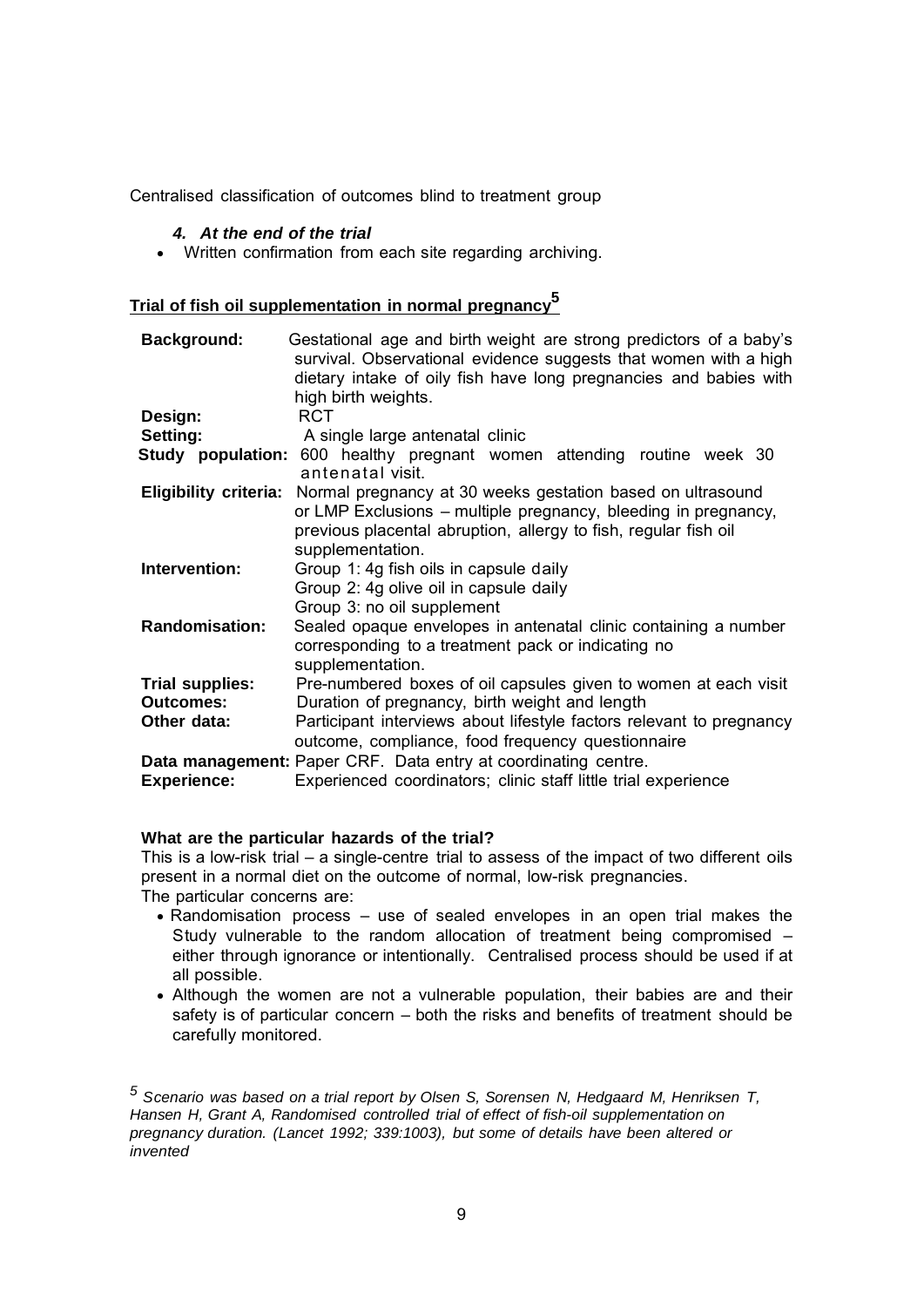Centralised classification of outcomes blind to treatment group

#### *4. At the end of the trial*

Written confirmation from each site regarding archiving.

# **Trial of fish oil supplementation in normal pregnancy5**

| <b>Background:</b>              | Gestational age and birth weight are strong predictors of a baby's<br>survival. Observational evidence suggests that women with a high<br>dietary intake of oily fish have long pregnancies and babies with<br>high birth weights. |
|---------------------------------|------------------------------------------------------------------------------------------------------------------------------------------------------------------------------------------------------------------------------------|
| Design:                         | <b>RCT</b>                                                                                                                                                                                                                         |
| Setting:                        | A single large antenatal clinic                                                                                                                                                                                                    |
|                                 | <b>Study population:</b> 600 healthy pregnant women attending routine week 30<br>antenatal visit.                                                                                                                                  |
| <b>Eligibility criteria:</b>    | Normal pregnancy at 30 weeks gestation based on ultrasound<br>or LMP Exclusions – multiple pregnancy, bleeding in pregnancy,<br>previous placental abruption, allergy to fish, regular fish oil<br>supplementation.                |
| Intervention:                   | Group 1: 4g fish oils in capsule daily<br>Group 2: 4g olive oil in capsule daily<br>Group 3: no oil supplement                                                                                                                     |
| <b>Randomisation:</b>           | Sealed opaque envelopes in antenatal clinic containing a number<br>corresponding to a treatment pack or indicating no<br>supplementation.                                                                                          |
| <b>Trial supplies:</b>          | Pre-numbered boxes of oil capsules given to women at each visit                                                                                                                                                                    |
| <b>Outcomes:</b><br>Other data: | Duration of pregnancy, birth weight and length<br>Participant interviews about lifestyle factors relevant to pregnancy<br>outcome, compliance, food frequency questionnaire                                                        |
| <b>Experience:</b>              | Data management: Paper CRF. Data entry at coordinating centre.<br>Experienced coordinators; clinic staff little trial experience                                                                                                   |

# **What are the particular hazards of the trial?**

This is a low-risk trial – a single-centre trial to assess of the impact of two different oils present in a normal diet on the outcome of normal, low-risk pregnancies. The particular concerns are:

- Randomisation process use of sealed envelopes in an open trial makes the Study vulnerable to the random allocation of treatment being compromised – either through ignorance or intentionally. Centralised process should be used if at all possible.
- Although the women are not a vulnerable population, their babies are and their safety is of particular concern – both the risks and benefits of treatment should be carefully monitored.

*<sup>5</sup> Scenario was based on a trial report by Olsen S, Sorensen N, Hedgaard M, Henriksen T, Hansen H, Grant A, Randomised controlled trial of effect of fish-oil supplementation on pregnancy duration. (Lancet 1992; 339:1003), but some of details have been altered or invented*